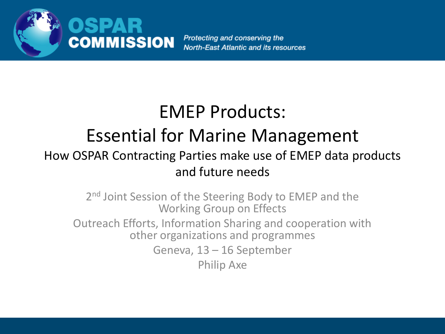

Protecting and conserving the **North-East Atlantic and its resources** 

### EMEP Products:

#### Essential for Marine Management

#### How OSPAR Contracting Parties make use of EMEP data products and future needs

2<sup>nd</sup> Joint Session of the Steering Body to EMEP and the Working Group on Effects Outreach Efforts, Information Sharing and cooperation with other organizations and programmes Geneva, 13 – 16 September

Philip Axe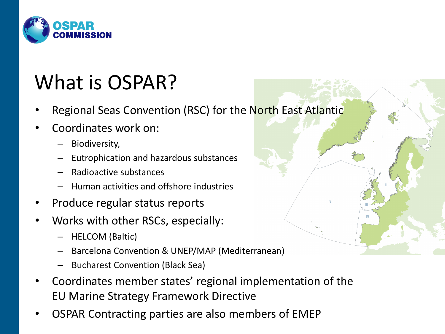

# What is OSPAR?

- Regional Seas Convention (RSC) for the North East Atlantic
- Coordinates work on:
	- Biodiversity,
	- Eutrophication and hazardous substances
	- Radioactive substances
	- Human activities and offshore industries
- Produce regular status reports
- Works with other RSCs, especially:
	- HELCOM (Baltic)
	- Barcelona Convention & UNEP/MAP (Mediterranean)
	- Bucharest Convention (Black Sea)
- Coordinates member states' regional implementation of the EU Marine Strategy Framework Directive
- OSPAR Contracting parties are also members of EMEP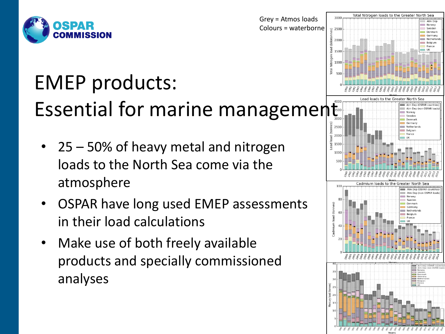

- 25 50% of heavy metal and nitrogen loads to the North Sea come via the atmosphere
- OSPAR have long used EMEP assessments in their load calculations
- Make use of both freely available products and specially commissioned analyses

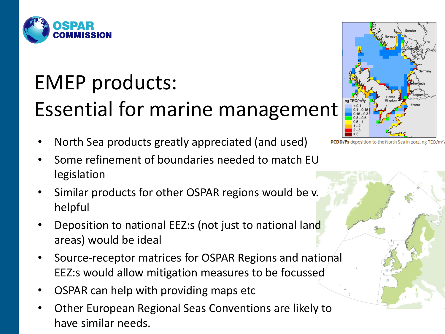

• North Sea products greatly appreciated (and used)



- Similar products for other OSPAR regions would be v. helpful
- Deposition to national EEZ:s (not just to national land areas) would be ideal
- Source-receptor matrices for OSPAR Regions and national EEZ:s would allow mitigation measures to be focussed
- OSPAR can help with providing maps etc
- Other European Regional Seas Conventions are likely to have similar needs.



deposition to the North Sea in 2014, ng TEQ/m<sup>2</sup>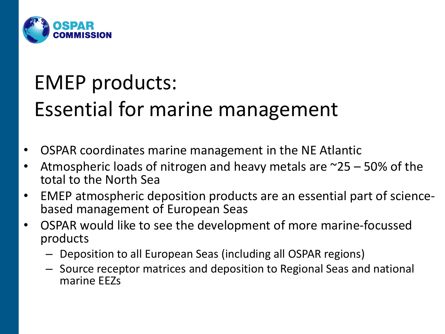

- OSPAR coordinates marine management in the NE Atlantic
- Atmospheric loads of nitrogen and heavy metals are  $\approx$ 25 50% of the total to the North Sea
- EMEP atmospheric deposition products are an essential part of sciencebased management of European Seas
- OSPAR would like to see the development of more marine-focussed products
	- Deposition to all European Seas (including all OSPAR regions)
	- Source receptor matrices and deposition to Regional Seas and national marine EEZs